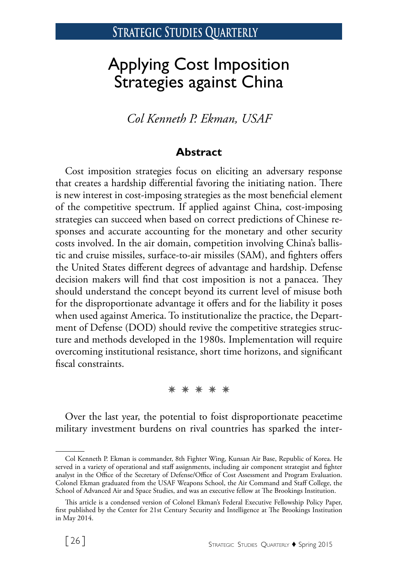# Applying Cost Imposition Strategies against China

*Col Kenneth P. Ekman, USAF*

### **Abstract**

Cost imposition strategies focus on eliciting an adversary response that creates a hardship differential favoring the initiating nation. There is new interest in cost-imposing strategies as the most beneficial element of the competitive spectrum. If applied against China, cost-imposing strategies can succeed when based on correct predictions of Chinese responses and accurate accounting for the monetary and other security costs involved. In the air domain, competition involving China's ballistic and cruise missiles, surface-to-air missiles (SAM), and fighters offers the United States different degrees of advantage and hardship. Defense decision makers will find that cost imposition is not a panacea. They should understand the concept beyond its current level of misuse both for the disproportionate advantage it offers and for the liability it poses when used against America. To institutionalize the practice, the Department of Defense (DOD) should revive the competitive strategies structure and methods developed in the 1980s. Implementation will require overcoming institutional resistance, short time horizons, and significant fiscal constraints.

✵ ✵ ✵ ✵ ✵

Over the last year, the potential to foist disproportionate peacetime military investment burdens on rival countries has sparked the inter-

Col Kenneth P. Ekman is commander, 8th Fighter Wing, Kunsan Air Base, Republic of Korea. He served in a variety of operational and staff assignments, including air component strategist and fighter analyst in the Office of the Secretary of Defense/Office of Cost Assessment and Program Evaluation. Colonel Ekman graduated from the USAF Weapons School, the Air Command and Staff College, the School of Advanced Air and Space Studies, and was an executive fellow at The Brookings Institution.

This article is a condensed version of Colonel Ekman's Federal Executive Fellowship Policy Paper, first published by the Center for 21st Century Security and Intelligence at The Brookings Institution in May 2014.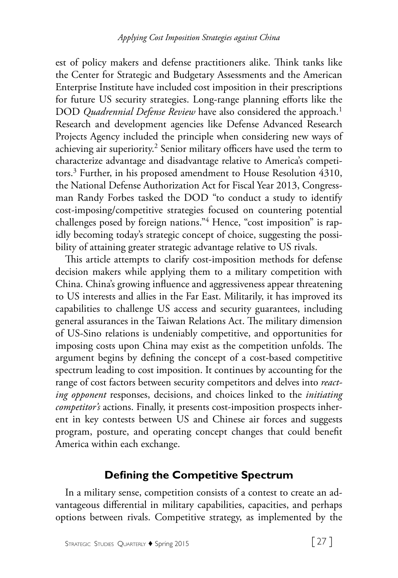est of policy makers and defense practitioners alike. Think tanks like the Center for Strategic and Budgetary Assessments and the American Enterprise Institute have included cost imposition in their prescriptions for future US security strategies. Long-range planning efforts like the DOD *Quadrennial Defense Review* have also considered the approach.<sup>1</sup> Research and development agencies like Defense Advanced Research Projects Agency included the principle when considering new ways of achieving air superiority.<sup>2</sup> Senior military officers have used the term to characterize advantage and disadvantage relative to America's competitors.<sup>3</sup> Further, in his proposed amendment to House Resolution 4310, the National Defense Authorization Act for Fiscal Year 2013, Congressman Randy Forbes tasked the DOD "to conduct a study to identify cost-imposing/competitive strategies focused on countering potential challenges posed by foreign nations."4 Hence, "cost imposition" is rapidly becoming today's strategic concept of choice, suggesting the possibility of attaining greater strategic advantage relative to US rivals.

This article attempts to clarify cost-imposition methods for defense decision makers while applying them to a military competition with China. China's growing influence and aggressiveness appear threatening to US interests and allies in the Far East. Militarily, it has improved its capabilities to challenge US access and security guarantees, including general assurances in the Taiwan Relations Act. The military dimension of US-Sino relations is undeniably competitive, and opportunities for imposing costs upon China may exist as the competition unfolds. The argument begins by defining the concept of a cost-based competitive spectrum leading to cost imposition. It continues by accounting for the range of cost factors between security competitors and delves into *reacting opponent* responses, decisions, and choices linked to the *initiating competitor's* actions. Finally, it presents cost-imposition prospects inherent in key contests between US and Chinese air forces and suggests program, posture, and operating concept changes that could benefit America within each exchange.

# **Defining the Competitive Spectrum**

In a military sense, competition consists of a contest to create an advantageous differential in military capabilities, capacities, and perhaps options between rivals. Competitive strategy, as implemented by the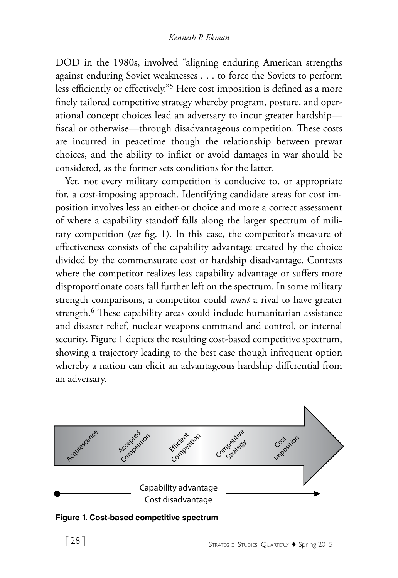DOD in the 1980s, involved "aligning enduring American strengths against enduring Soviet weaknesses . . . to force the Soviets to perform less efficiently or effectively."5 Here cost imposition is defined as a more finely tailored competitive strategy whereby program, posture, and operational concept choices lead an adversary to incur greater hardship fiscal or otherwise—through disadvantageous competition. These costs are incurred in peacetime though the relationship between prewar choices, and the ability to inflict or avoid damages in war should be considered, as the former sets conditions for the latter.

Yet, not every military competition is conducive to, or appropriate for, a cost-imposing approach. Identifying candidate areas for cost imposition involves less an either-or choice and more a correct assessment of where a capability standoff falls along the larger spectrum of military competition (*see* fig. 1). In this case, the competitor's measure of effectiveness consists of the capability advantage created by the choice divided by the commensurate cost or hardship disadvantage. Contests where the competitor realizes less capability advantage or suffers more disproportionate costs fall further left on the spectrum. In some military strength comparisons, a competitor could *want* a rival to have greater strength.<sup>6</sup> These capability areas could include humanitarian assistance and disaster relief, nuclear weapons command and control, or internal security. Figure 1 depicts the resulting cost-based competitive spectrum, showing a trajectory leading to the best case though infrequent option whereby a nation can elicit an advantageous hardship differential from an adversary.



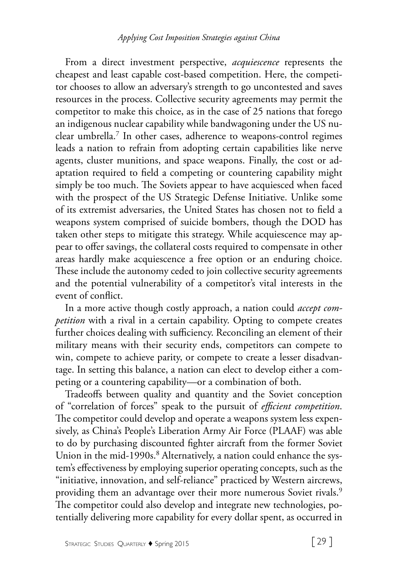From a direct investment perspective, *acquiescence* represents the cheapest and least capable cost-based competition. Here, the competitor chooses to allow an adversary's strength to go uncontested and saves resources in the process. Collective security agreements may permit the competitor to make this choice, as in the case of 25 nations that forego an indigenous nuclear capability while bandwagoning under the US nuclear umbrella.7 In other cases, adherence to weapons-control regimes leads a nation to refrain from adopting certain capabilities like nerve agents, cluster munitions, and space weapons. Finally, the cost or adaptation required to field a competing or countering capability might simply be too much. The Soviets appear to have acquiesced when faced with the prospect of the US Strategic Defense Initiative. Unlike some of its extremist adversaries, the United States has chosen not to field a weapons system comprised of suicide bombers, though the DOD has taken other steps to mitigate this strategy. While acquiescence may appear to offer savings, the collateral costs required to compensate in other areas hardly make acquiescence a free option or an enduring choice. These include the autonomy ceded to join collective security agreements and the potential vulnerability of a competitor's vital interests in the event of conflict.

In a more active though costly approach, a nation could *accept competition* with a rival in a certain capability. Opting to compete creates further choices dealing with sufficiency. Reconciling an element of their military means with their security ends, competitors can compete to win, compete to achieve parity, or compete to create a lesser disadvantage. In setting this balance, a nation can elect to develop either a competing or a countering capability—or a combination of both.

Tradeoffs between quality and quantity and the Soviet conception of "correlation of forces" speak to the pursuit of *efficient competition*. The competitor could develop and operate a weapons system less expensively, as China's People's Liberation Army Air Force (PLAAF) was able to do by purchasing discounted fighter aircraft from the former Soviet Union in the mid-1990s.<sup>8</sup> Alternatively, a nation could enhance the system's effectiveness by employing superior operating concepts, such as the "initiative, innovation, and self-reliance" practiced by Western aircrews, providing them an advantage over their more numerous Soviet rivals.<sup>9</sup> The competitor could also develop and integrate new technologies, potentially delivering more capability for every dollar spent, as occurred in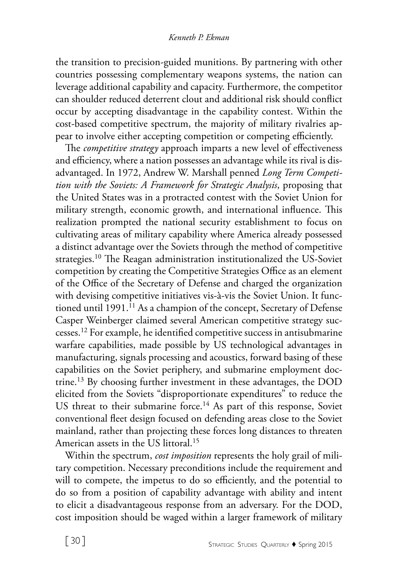the transition to precision-guided munitions. By partnering with other countries possessing complementary weapons systems, the nation can leverage additional capability and capacity. Furthermore, the competitor can shoulder reduced deterrent clout and additional risk should conflict occur by accepting disadvantage in the capability contest. Within the cost-based competitive spectrum, the majority of military rivalries appear to involve either accepting competition or competing efficiently.

The *competitive strategy* approach imparts a new level of effectiveness and efficiency, where a nation possesses an advantage while its rival is disadvantaged. In 1972, Andrew W. Marshall penned *Long Term Competition with the Soviets: A Framework for Strategic Analysis*, proposing that the United States was in a protracted contest with the Soviet Union for military strength, economic growth, and international influence. This realization prompted the national security establishment to focus on cultivating areas of military capability where America already possessed a distinct advantage over the Soviets through the method of competitive strategies.10 The Reagan administration institutionalized the US-Soviet competition by creating the Competitive Strategies Office as an element of the Office of the Secretary of Defense and charged the organization with devising competitive initiatives vis-à-vis the Soviet Union. It functioned until 1991.<sup>11</sup> As a champion of the concept, Secretary of Defense Casper Weinberger claimed several American competitive strategy successes.12 For example, he identified competitive success in antisubmarine warfare capabilities, made possible by US technological advantages in manufacturing, signals processing and acoustics, forward basing of these capabilities on the Soviet periphery, and submarine employment doctrine.13 By choosing further investment in these advantages, the DOD elicited from the Soviets "disproportionate expenditures" to reduce the US threat to their submarine force.<sup>14</sup> As part of this response, Soviet conventional fleet design focused on defending areas close to the Soviet mainland, rather than projecting these forces long distances to threaten American assets in the US littoral.15

Within the spectrum, *cost imposition* represents the holy grail of military competition. Necessary preconditions include the requirement and will to compete, the impetus to do so efficiently, and the potential to do so from a position of capability advantage with ability and intent to elicit a disadvantageous response from an adversary. For the DOD, cost imposition should be waged within a larger framework of military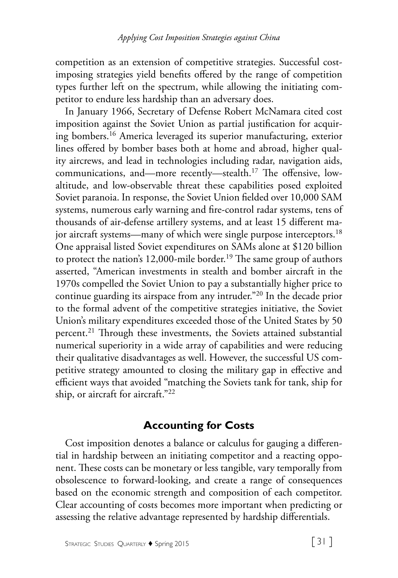competition as an extension of competitive strategies. Successful costimposing strategies yield benefits offered by the range of competition types further left on the spectrum, while allowing the initiating competitor to endure less hardship than an adversary does.

In January 1966, Secretary of Defense Robert McNamara cited cost imposition against the Soviet Union as partial justification for acquiring bombers.16 America leveraged its superior manufacturing, exterior lines offered by bomber bases both at home and abroad, higher quality aircrews, and lead in technologies including radar, navigation aids, communications, and—more recently—stealth.17 The offensive, lowaltitude, and low-observable threat these capabilities posed exploited Soviet paranoia. In response, the Soviet Union fielded over 10,000 SAM systems, numerous early warning and fire-control radar systems, tens of thousands of air-defense artillery systems, and at least 15 different major aircraft systems—many of which were single purpose interceptors.<sup>18</sup> One appraisal listed Soviet expenditures on SAMs alone at \$120 billion to protect the nation's 12,000-mile border.<sup>19</sup> The same group of authors asserted, "American investments in stealth and bomber aircraft in the 1970s compelled the Soviet Union to pay a substantially higher price to continue guarding its airspace from any intruder."20 In the decade prior to the formal advent of the competitive strategies initiative, the Soviet Union's military expenditures exceeded those of the United States by 50 percent.21 Through these investments, the Soviets attained substantial numerical superiority in a wide array of capabilities and were reducing their qualitative disadvantages as well. However, the successful US competitive strategy amounted to closing the military gap in effective and efficient ways that avoided "matching the Soviets tank for tank, ship for ship, or aircraft for aircraft."22

### **Accounting for Costs**

Cost imposition denotes a balance or calculus for gauging a differential in hardship between an initiating competitor and a reacting opponent. These costs can be monetary or less tangible, vary temporally from obsolescence to forward-looking, and create a range of consequences based on the economic strength and composition of each competitor. Clear accounting of costs becomes more important when predicting or assessing the relative advantage represented by hardship differentials.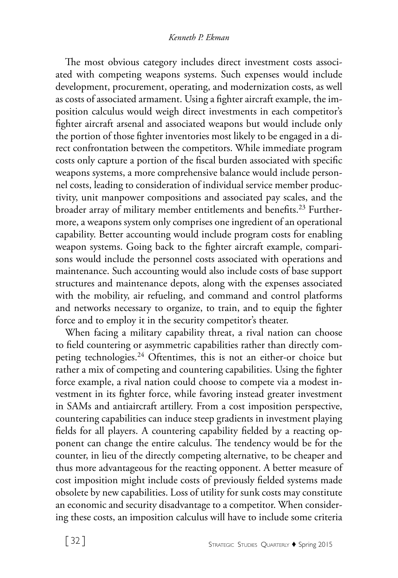The most obvious category includes direct investment costs associated with competing weapons systems. Such expenses would include development, procurement, operating, and modernization costs, as well as costs of associated armament. Using a fighter aircraft example, the imposition calculus would weigh direct investments in each competitor's fighter aircraft arsenal and associated weapons but would include only the portion of those fighter inventories most likely to be engaged in a direct confrontation between the competitors. While immediate program costs only capture a portion of the fiscal burden associated with specific weapons systems, a more comprehensive balance would include personnel costs, leading to consideration of individual service member productivity, unit manpower compositions and associated pay scales, and the broader array of military member entitlements and benefits.<sup>23</sup> Furthermore, a weapons system only comprises one ingredient of an operational capability. Better accounting would include program costs for enabling weapon systems. Going back to the fighter aircraft example, comparisons would include the personnel costs associated with operations and maintenance. Such accounting would also include costs of base support structures and maintenance depots, along with the expenses associated with the mobility, air refueling, and command and control platforms and networks necessary to organize, to train, and to equip the fighter force and to employ it in the security competitor's theater.

When facing a military capability threat, a rival nation can choose to field countering or asymmetric capabilities rather than directly competing technologies.<sup>24</sup> Oftentimes, this is not an either-or choice but rather a mix of competing and countering capabilities. Using the fighter force example, a rival nation could choose to compete via a modest investment in its fighter force, while favoring instead greater investment in SAMs and antiaircraft artillery. From a cost imposition perspective, countering capabilities can induce steep gradients in investment playing fields for all players. A countering capability fielded by a reacting opponent can change the entire calculus. The tendency would be for the counter, in lieu of the directly competing alternative, to be cheaper and thus more advantageous for the reacting opponent. A better measure of cost imposition might include costs of previously fielded systems made obsolete by new capabilities. Loss of utility for sunk costs may constitute an economic and security disadvantage to a competitor. When considering these costs, an imposition calculus will have to include some criteria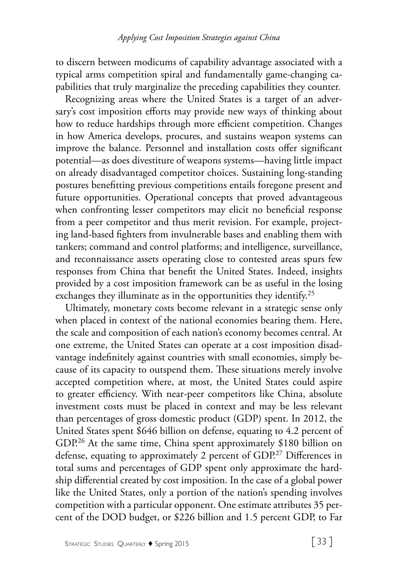to discern between modicums of capability advantage associated with a typical arms competition spiral and fundamentally game-changing capabilities that truly marginalize the preceding capabilities they counter.

Recognizing areas where the United States is a target of an adversary's cost imposition efforts may provide new ways of thinking about how to reduce hardships through more efficient competition. Changes in how America develops, procures, and sustains weapon systems can improve the balance. Personnel and installation costs offer significant potential—as does divestiture of weapons systems—having little impact on already disadvantaged competitor choices. Sustaining long-standing postures benefitting previous competitions entails foregone present and future opportunities. Operational concepts that proved advantageous when confronting lesser competitors may elicit no beneficial response from a peer competitor and thus merit revision. For example, projecting land-based fighters from invulnerable bases and enabling them with tankers; command and control platforms; and intelligence, surveillance, and reconnaissance assets operating close to contested areas spurs few responses from China that benefit the United States. Indeed, insights provided by a cost imposition framework can be as useful in the losing exchanges they illuminate as in the opportunities they identify.<sup>25</sup>

Ultimately, monetary costs become relevant in a strategic sense only when placed in context of the national economies bearing them. Here, the scale and composition of each nation's economy becomes central. At one extreme, the United States can operate at a cost imposition disadvantage indefinitely against countries with small economies, simply because of its capacity to outspend them. These situations merely involve accepted competition where, at most, the United States could aspire to greater efficiency. With near-peer competitors like China, absolute investment costs must be placed in context and may be less relevant than percentages of gross domestic product (GDP) spent. In 2012, the United States spent \$646 billion on defense, equating to 4.2 percent of GDP.<sup>26</sup> At the same time, China spent approximately \$180 billion on defense, equating to approximately 2 percent of GDP.<sup>27</sup> Differences in total sums and percentages of GDP spent only approximate the hardship differential created by cost imposition. In the case of a global power like the United States, only a portion of the nation's spending involves competition with a particular opponent. One estimate attributes 35 percent of the DOD budget, or \$226 billion and 1.5 percent GDP, to Far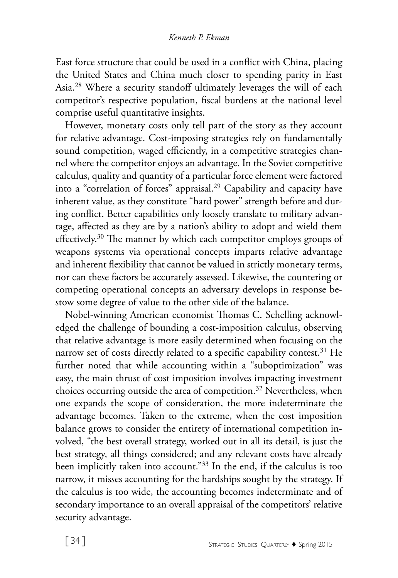East force structure that could be used in a conflict with China, placing the United States and China much closer to spending parity in East Asia.28 Where a security standoff ultimately leverages the will of each competitor's respective population, fiscal burdens at the national level comprise useful quantitative insights.

However, monetary costs only tell part of the story as they account for relative advantage. Cost-imposing strategies rely on fundamentally sound competition, waged efficiently, in a competitive strategies channel where the competitor enjoys an advantage. In the Soviet competitive calculus, quality and quantity of a particular force element were factored into a "correlation of forces" appraisal.<sup>29</sup> Capability and capacity have inherent value, as they constitute "hard power" strength before and during conflict. Better capabilities only loosely translate to military advantage, affected as they are by a nation's ability to adopt and wield them effectively.30 The manner by which each competitor employs groups of weapons systems via operational concepts imparts relative advantage and inherent flexibility that cannot be valued in strictly monetary terms, nor can these factors be accurately assessed. Likewise, the countering or competing operational concepts an adversary develops in response bestow some degree of value to the other side of the balance.

Nobel-winning American economist Thomas C. Schelling acknowledged the challenge of bounding a cost-imposition calculus, observing that relative advantage is more easily determined when focusing on the narrow set of costs directly related to a specific capability contest.<sup>31</sup> He further noted that while accounting within a "suboptimization" was easy, the main thrust of cost imposition involves impacting investment choices occurring outside the area of competition.<sup>32</sup> Nevertheless, when one expands the scope of consideration, the more indeterminate the advantage becomes. Taken to the extreme, when the cost imposition balance grows to consider the entirety of international competition involved, "the best overall strategy, worked out in all its detail, is just the best strategy, all things considered; and any relevant costs have already been implicitly taken into account."33 In the end, if the calculus is too narrow, it misses accounting for the hardships sought by the strategy. If the calculus is too wide, the accounting becomes indeterminate and of secondary importance to an overall appraisal of the competitors' relative security advantage.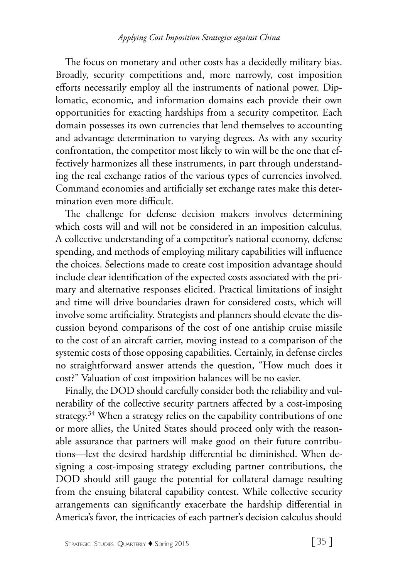The focus on monetary and other costs has a decidedly military bias. Broadly, security competitions and, more narrowly, cost imposition efforts necessarily employ all the instruments of national power. Diplomatic, economic, and information domains each provide their own opportunities for exacting hardships from a security competitor. Each domain possesses its own currencies that lend themselves to accounting and advantage determination to varying degrees. As with any security confrontation, the competitor most likely to win will be the one that effectively harmonizes all these instruments, in part through understanding the real exchange ratios of the various types of currencies involved. Command economies and artificially set exchange rates make this determination even more difficult.

The challenge for defense decision makers involves determining which costs will and will not be considered in an imposition calculus. A collective understanding of a competitor's national economy, defense spending, and methods of employing military capabilities will influence the choices. Selections made to create cost imposition advantage should include clear identification of the expected costs associated with the primary and alternative responses elicited. Practical limitations of insight and time will drive boundaries drawn for considered costs, which will involve some artificiality. Strategists and planners should elevate the discussion beyond comparisons of the cost of one antiship cruise missile to the cost of an aircraft carrier, moving instead to a comparison of the systemic costs of those opposing capabilities. Certainly, in defense circles no straightforward answer attends the question, "How much does it cost?" Valuation of cost imposition balances will be no easier.

Finally, the DOD should carefully consider both the reliability and vulnerability of the collective security partners affected by a cost-imposing strategy.<sup>34</sup> When a strategy relies on the capability contributions of one or more allies, the United States should proceed only with the reasonable assurance that partners will make good on their future contributions—lest the desired hardship differential be diminished. When designing a cost-imposing strategy excluding partner contributions, the DOD should still gauge the potential for collateral damage resulting from the ensuing bilateral capability contest. While collective security arrangements can significantly exacerbate the hardship differential in America's favor, the intricacies of each partner's decision calculus should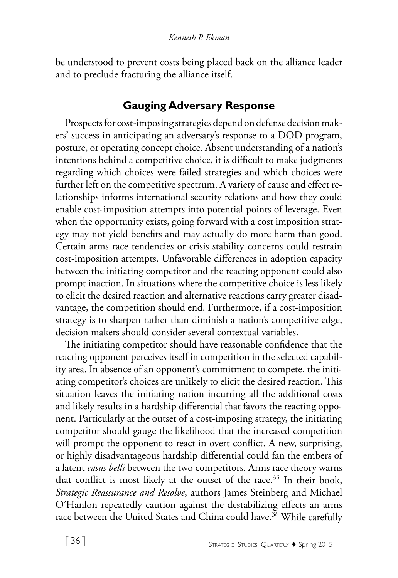be understood to prevent costs being placed back on the alliance leader and to preclude fracturing the alliance itself.

# **Gauging Adversary Response**

Prospects for cost-imposing strategies depend on defense decision makers' success in anticipating an adversary's response to a DOD program, posture, or operating concept choice. Absent understanding of a nation's intentions behind a competitive choice, it is difficult to make judgments regarding which choices were failed strategies and which choices were further left on the competitive spectrum. A variety of cause and effect relationships informs international security relations and how they could enable cost-imposition attempts into potential points of leverage. Even when the opportunity exists, going forward with a cost imposition strategy may not yield benefits and may actually do more harm than good. Certain arms race tendencies or crisis stability concerns could restrain cost-imposition attempts. Unfavorable differences in adoption capacity between the initiating competitor and the reacting opponent could also prompt inaction. In situations where the competitive choice is less likely to elicit the desired reaction and alternative reactions carry greater disadvantage, the competition should end. Furthermore, if a cost-imposition strategy is to sharpen rather than diminish a nation's competitive edge, decision makers should consider several contextual variables.

The initiating competitor should have reasonable confidence that the reacting opponent perceives itself in competition in the selected capability area. In absence of an opponent's commitment to compete, the initiating competitor's choices are unlikely to elicit the desired reaction. This situation leaves the initiating nation incurring all the additional costs and likely results in a hardship differential that favors the reacting opponent. Particularly at the outset of a cost-imposing strategy, the initiating competitor should gauge the likelihood that the increased competition will prompt the opponent to react in overt conflict. A new, surprising, or highly disadvantageous hardship differential could fan the embers of a latent *casus belli* between the two competitors. Arms race theory warns that conflict is most likely at the outset of the race.<sup>35</sup> In their book, *Strategic Reassurance and Resolve*, authors James Steinberg and Michael O'Hanlon repeatedly caution against the destabilizing effects an arms race between the United States and China could have.<sup>36</sup> While carefully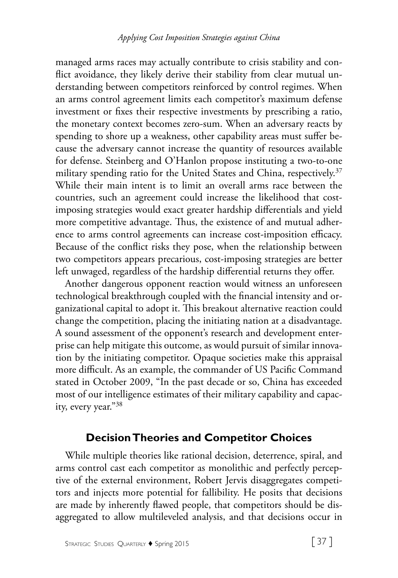managed arms races may actually contribute to crisis stability and conflict avoidance, they likely derive their stability from clear mutual understanding between competitors reinforced by control regimes. When an arms control agreement limits each competitor's maximum defense investment or fixes their respective investments by prescribing a ratio, the monetary context becomes zero-sum. When an adversary reacts by spending to shore up a weakness, other capability areas must suffer because the adversary cannot increase the quantity of resources available for defense. Steinberg and O'Hanlon propose instituting a two-to-one military spending ratio for the United States and China, respectively.<sup>37</sup> While their main intent is to limit an overall arms race between the countries, such an agreement could increase the likelihood that costimposing strategies would exact greater hardship differentials and yield more competitive advantage. Thus, the existence of and mutual adherence to arms control agreements can increase cost-imposition efficacy. Because of the conflict risks they pose, when the relationship between two competitors appears precarious, cost-imposing strategies are better left unwaged, regardless of the hardship differential returns they offer.

Another dangerous opponent reaction would witness an unforeseen technological breakthrough coupled with the financial intensity and organizational capital to adopt it. This breakout alternative reaction could change the competition, placing the initiating nation at a disadvantage. A sound assessment of the opponent's research and development enterprise can help mitigate this outcome, as would pursuit of similar innovation by the initiating competitor. Opaque societies make this appraisal more difficult. As an example, the commander of US Pacific Command stated in October 2009, "In the past decade or so, China has exceeded most of our intelligence estimates of their military capability and capacity, every year."38

# **Decision Theories and Competitor Choices**

While multiple theories like rational decision, deterrence, spiral, and arms control cast each competitor as monolithic and perfectly perceptive of the external environment, Robert Jervis disaggregates competitors and injects more potential for fallibility. He posits that decisions are made by inherently flawed people, that competitors should be disaggregated to allow multileveled analysis, and that decisions occur in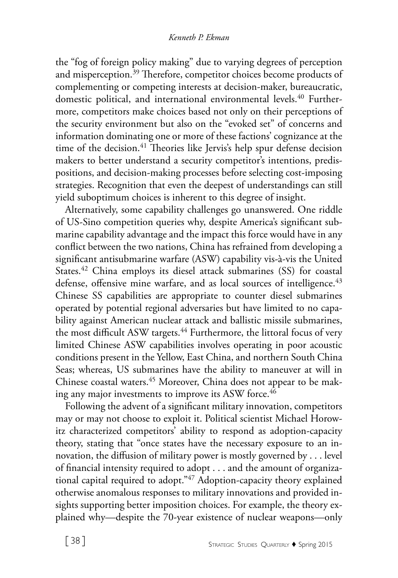the "fog of foreign policy making" due to varying degrees of perception and misperception.<sup>39</sup> Therefore, competitor choices become products of complementing or competing interests at decision-maker, bureaucratic, domestic political, and international environmental levels.<sup>40</sup> Furthermore, competitors make choices based not only on their perceptions of the security environment but also on the "evoked set" of concerns and information dominating one or more of these factions' cognizance at the time of the decision.<sup>41</sup> Theories like Jervis's help spur defense decision makers to better understand a security competitor's intentions, predispositions, and decision-making processes before selecting cost-imposing strategies. Recognition that even the deepest of understandings can still yield suboptimum choices is inherent to this degree of insight.

Alternatively, some capability challenges go unanswered. One riddle of US-Sino competition queries why, despite America's significant submarine capability advantage and the impact this force would have in any conflict between the two nations, China has refrained from developing a significant antisubmarine warfare (ASW) capability vis-à-vis the United States.<sup>42</sup> China employs its diesel attack submarines (SS) for coastal defense, offensive mine warfare, and as local sources of intelligence.<sup>43</sup> Chinese SS capabilities are appropriate to counter diesel submarines operated by potential regional adversaries but have limited to no capability against American nuclear attack and ballistic missile submarines, the most difficult ASW targets.<sup>44</sup> Furthermore, the littoral focus of very limited Chinese ASW capabilities involves operating in poor acoustic conditions present in the Yellow, East China, and northern South China Seas; whereas, US submarines have the ability to maneuver at will in Chinese coastal waters.<sup>45</sup> Moreover, China does not appear to be making any major investments to improve its ASW force.<sup>46</sup>

Following the advent of a significant military innovation, competitors may or may not choose to exploit it. Political scientist Michael Horowitz characterized competitors' ability to respond as adoption-capacity theory, stating that "once states have the necessary exposure to an innovation, the diffusion of military power is mostly governed by . . . level of financial intensity required to adopt . . . and the amount of organizational capital required to adopt."<sup>47</sup> Adoption-capacity theory explained otherwise anomalous responses to military innovations and provided insights supporting better imposition choices. For example, the theory explained why—despite the 70-year existence of nuclear weapons—only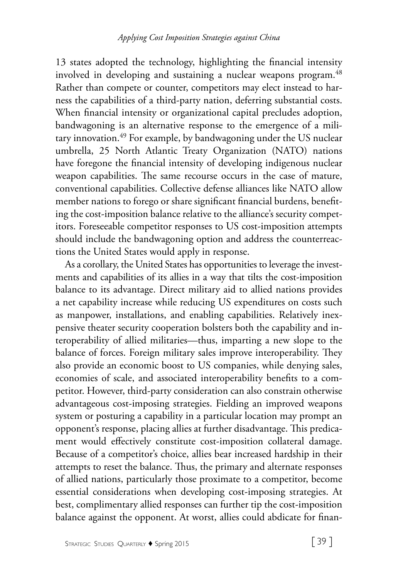13 states adopted the technology, highlighting the financial intensity involved in developing and sustaining a nuclear weapons program.<sup>48</sup> Rather than compete or counter, competitors may elect instead to harness the capabilities of a third-party nation, deferring substantial costs. When financial intensity or organizational capital precludes adoption, bandwagoning is an alternative response to the emergence of a military innovation.49 For example, by bandwagoning under the US nuclear umbrella, 25 North Atlantic Treaty Organization (NATO) nations have foregone the financial intensity of developing indigenous nuclear weapon capabilities. The same recourse occurs in the case of mature, conventional capabilities. Collective defense alliances like NATO allow member nations to forego or share significant financial burdens, benefiting the cost-imposition balance relative to the alliance's security competitors. Foreseeable competitor responses to US cost-imposition attempts should include the bandwagoning option and address the counterreactions the United States would apply in response.

As a corollary, the United States has opportunities to leverage the investments and capabilities of its allies in a way that tilts the cost-imposition balance to its advantage. Direct military aid to allied nations provides a net capability increase while reducing US expenditures on costs such as manpower, installations, and enabling capabilities. Relatively inexpensive theater security cooperation bolsters both the capability and interoperability of allied militaries—thus, imparting a new slope to the balance of forces. Foreign military sales improve interoperability. They also provide an economic boost to US companies, while denying sales, economies of scale, and associated interoperability benefits to a competitor. However, third-party consideration can also constrain otherwise advantageous cost-imposing strategies. Fielding an improved weapons system or posturing a capability in a particular location may prompt an opponent's response, placing allies at further disadvantage. This predicament would effectively constitute cost-imposition collateral damage. Because of a competitor's choice, allies bear increased hardship in their attempts to reset the balance. Thus, the primary and alternate responses of allied nations, particularly those proximate to a competitor, become essential considerations when developing cost-imposing strategies. At best, complimentary allied responses can further tip the cost-imposition balance against the opponent. At worst, allies could abdicate for finan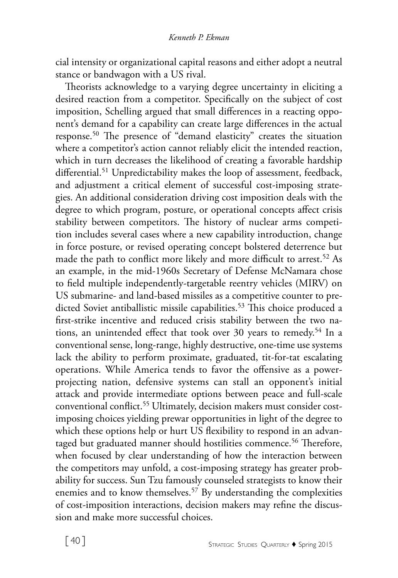cial intensity or organizational capital reasons and either adopt a neutral stance or bandwagon with a US rival.

Theorists acknowledge to a varying degree uncertainty in eliciting a desired reaction from a competitor. Specifically on the subject of cost imposition, Schelling argued that small differences in a reacting opponent's demand for a capability can create large differences in the actual response.50 The presence of "demand elasticity" creates the situation where a competitor's action cannot reliably elicit the intended reaction, which in turn decreases the likelihood of creating a favorable hardship differential.<sup>51</sup> Unpredictability makes the loop of assessment, feedback, and adjustment a critical element of successful cost-imposing strategies. An additional consideration driving cost imposition deals with the degree to which program, posture, or operational concepts affect crisis stability between competitors. The history of nuclear arms competition includes several cases where a new capability introduction, change in force posture, or revised operating concept bolstered deterrence but made the path to conflict more likely and more difficult to arrest.<sup>52</sup> As an example, in the mid-1960s Secretary of Defense McNamara chose to field multiple independently-targetable reentry vehicles (MIRV) on US submarine- and land-based missiles as a competitive counter to predicted Soviet antiballistic missile capabilities.<sup>53</sup> This choice produced a first-strike incentive and reduced crisis stability between the two nations, an unintended effect that took over 30 years to remedy.<sup>54</sup> In a conventional sense, long-range, highly destructive, one-time use systems lack the ability to perform proximate, graduated, tit-for-tat escalating operations. While America tends to favor the offensive as a powerprojecting nation, defensive systems can stall an opponent's initial attack and provide intermediate options between peace and full-scale conventional conflict.<sup>55</sup> Ultimately, decision makers must consider costimposing choices yielding prewar opportunities in light of the degree to which these options help or hurt US flexibility to respond in an advantaged but graduated manner should hostilities commence.<sup>56</sup> Therefore, when focused by clear understanding of how the interaction between the competitors may unfold, a cost-imposing strategy has greater probability for success. Sun Tzu famously counseled strategists to know their enemies and to know themselves.<sup>57</sup> By understanding the complexities of cost-imposition interactions, decision makers may refine the discussion and make more successful choices.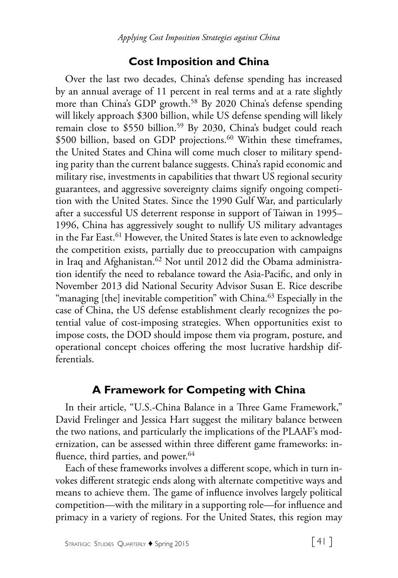# **Cost Imposition and China**

Over the last two decades, China's defense spending has increased by an annual average of 11 percent in real terms and at a rate slightly more than China's GDP growth.<sup>58</sup> By 2020 China's defense spending will likely approach \$300 billion, while US defense spending will likely remain close to \$550 billion.<sup>59</sup> By 2030, China's budget could reach \$500 billion, based on GDP projections.<sup>60</sup> Within these timeframes, the United States and China will come much closer to military spending parity than the current balance suggests. China's rapid economic and military rise, investments in capabilities that thwart US regional security guarantees, and aggressive sovereignty claims signify ongoing competition with the United States. Since the 1990 Gulf War, and particularly after a successful US deterrent response in support of Taiwan in 1995– 1996, China has aggressively sought to nullify US military advantages in the Far East.61 However, the United States is late even to acknowledge the competition exists, partially due to preoccupation with campaigns in Iraq and Afghanistan.<sup>62</sup> Not until 2012 did the Obama administration identify the need to rebalance toward the Asia-Pacific, and only in November 2013 did National Security Advisor Susan E. Rice describe "managing [the] inevitable competition" with China.<sup>63</sup> Especially in the case of China, the US defense establishment clearly recognizes the potential value of cost-imposing strategies. When opportunities exist to impose costs, the DOD should impose them via program, posture, and operational concept choices offering the most lucrative hardship differentials.

# **A Framework for Competing with China**

In their article, "U.S.-China Balance in a Three Game Framework," David Frelinger and Jessica Hart suggest the military balance between the two nations, and particularly the implications of the PLAAF's modernization, can be assessed within three different game frameworks: influence, third parties, and power.<sup>64</sup>

Each of these frameworks involves a different scope, which in turn invokes different strategic ends along with alternate competitive ways and means to achieve them. The game of influence involves largely political competition—with the military in a supporting role—for influence and primacy in a variety of regions. For the United States, this region may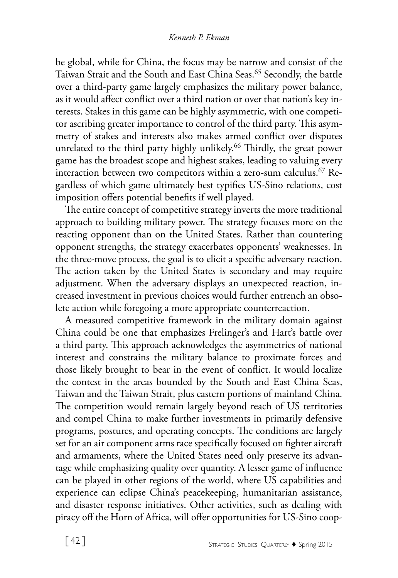be global, while for China, the focus may be narrow and consist of the Taiwan Strait and the South and East China Seas.<sup>65</sup> Secondly, the battle over a third-party game largely emphasizes the military power balance, as it would affect conflict over a third nation or over that nation's key interests. Stakes in this game can be highly asymmetric, with one competitor ascribing greater importance to control of the third party. This asymmetry of stakes and interests also makes armed conflict over disputes unrelated to the third party highly unlikely.<sup>66</sup> Thirdly, the great power game has the broadest scope and highest stakes, leading to valuing every interaction between two competitors within a zero-sum calculus.<sup>67</sup> Regardless of which game ultimately best typifies US-Sino relations, cost imposition offers potential benefits if well played.

The entire concept of competitive strategy inverts the more traditional approach to building military power. The strategy focuses more on the reacting opponent than on the United States. Rather than countering opponent strengths, the strategy exacerbates opponents' weaknesses. In the three-move process, the goal is to elicit a specific adversary reaction. The action taken by the United States is secondary and may require adjustment. When the adversary displays an unexpected reaction, increased investment in previous choices would further entrench an obsolete action while foregoing a more appropriate counterreaction.

A measured competitive framework in the military domain against China could be one that emphasizes Frelinger's and Hart's battle over a third party. This approach acknowledges the asymmetries of national interest and constrains the military balance to proximate forces and those likely brought to bear in the event of conflict. It would localize the contest in the areas bounded by the South and East China Seas, Taiwan and the Taiwan Strait, plus eastern portions of mainland China. The competition would remain largely beyond reach of US territories and compel China to make further investments in primarily defensive programs, postures, and operating concepts. The conditions are largely set for an air component arms race specifically focused on fighter aircraft and armaments, where the United States need only preserve its advantage while emphasizing quality over quantity. A lesser game of influence can be played in other regions of the world, where US capabilities and experience can eclipse China's peacekeeping, humanitarian assistance, and disaster response initiatives. Other activities, such as dealing with piracy off the Horn of Africa, will offer opportunities for US-Sino coop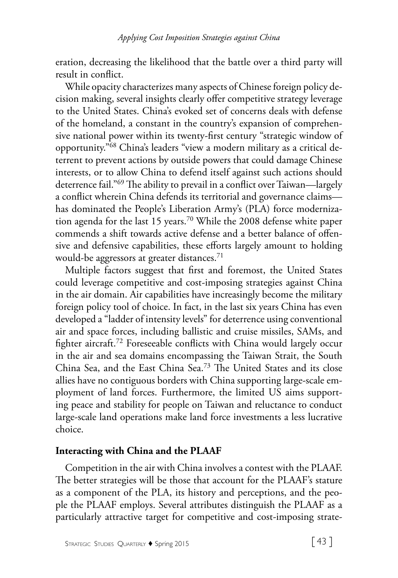eration, decreasing the likelihood that the battle over a third party will result in conflict.

While opacity characterizes many aspects of Chinese foreign policy decision making, several insights clearly offer competitive strategy leverage to the United States. China's evoked set of concerns deals with defense of the homeland, a constant in the country's expansion of comprehensive national power within its twenty-first century "strategic window of opportunity."68 China's leaders "view a modern military as a critical deterrent to prevent actions by outside powers that could damage Chinese interests, or to allow China to defend itself against such actions should deterrence fail."69 The ability to prevail in a conflict over Taiwan—largely a conflict wherein China defends its territorial and governance claims has dominated the People's Liberation Army's (PLA) force modernization agenda for the last 15 years.<sup>70</sup> While the 2008 defense white paper commends a shift towards active defense and a better balance of offensive and defensive capabilities, these efforts largely amount to holding would-be aggressors at greater distances.<sup>71</sup>

Multiple factors suggest that first and foremost, the United States could leverage competitive and cost-imposing strategies against China in the air domain. Air capabilities have increasingly become the military foreign policy tool of choice. In fact, in the last six years China has even developed a "ladder of intensity levels" for deterrence using conventional air and space forces, including ballistic and cruise missiles, SAMs, and fighter aircraft.72 Foreseeable conflicts with China would largely occur in the air and sea domains encompassing the Taiwan Strait, the South China Sea, and the East China Sea.73 The United States and its close allies have no contiguous borders with China supporting large-scale employment of land forces. Furthermore, the limited US aims supporting peace and stability for people on Taiwan and reluctance to conduct large-scale land operations make land force investments a less lucrative choice.

### **Interacting with China and the PLAAF**

Competition in the air with China involves a contest with the PLAAF. The better strategies will be those that account for the PLAAF's stature as a component of the PLA, its history and perceptions, and the people the PLAAF employs. Several attributes distinguish the PLAAF as a particularly attractive target for competitive and cost-imposing strate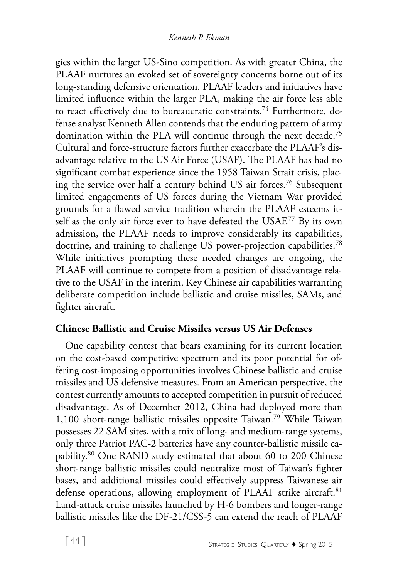gies within the larger US-Sino competition. As with greater China, the PLAAF nurtures an evoked set of sovereignty concerns borne out of its long-standing defensive orientation. PLAAF leaders and initiatives have limited influence within the larger PLA, making the air force less able to react effectively due to bureaucratic constraints.<sup>74</sup> Furthermore, defense analyst Kenneth Allen contends that the enduring pattern of army domination within the PLA will continue through the next decade.<sup>75</sup> Cultural and force-structure factors further exacerbate the PLAAF's disadvantage relative to the US Air Force (USAF). The PLAAF has had no significant combat experience since the 1958 Taiwan Strait crisis, placing the service over half a century behind US air forces.76 Subsequent limited engagements of US forces during the Vietnam War provided grounds for a flawed service tradition wherein the PLAAF esteems itself as the only air force ever to have defeated the USAF.<sup>77</sup> By its own admission, the PLAAF needs to improve considerably its capabilities, doctrine, and training to challenge US power-projection capabilities.<sup>78</sup> While initiatives prompting these needed changes are ongoing, the PLAAF will continue to compete from a position of disadvantage relative to the USAF in the interim. Key Chinese air capabilities warranting deliberate competition include ballistic and cruise missiles, SAMs, and fighter aircraft.

# **Chinese Ballistic and Cruise Missiles versus US Air Defenses**

One capability contest that bears examining for its current location on the cost-based competitive spectrum and its poor potential for offering cost-imposing opportunities involves Chinese ballistic and cruise missiles and US defensive measures. From an American perspective, the contest currently amounts to accepted competition in pursuit of reduced disadvantage. As of December 2012, China had deployed more than 1,100 short-range ballistic missiles opposite Taiwan.79 While Taiwan possesses 22 SAM sites, with a mix of long- and medium-range systems, only three Patriot PAC-2 batteries have any counter-ballistic missile capability.80 One RAND study estimated that about 60 to 200 Chinese short-range ballistic missiles could neutralize most of Taiwan's fighter bases, and additional missiles could effectively suppress Taiwanese air defense operations, allowing employment of PLAAF strike aircraft.<sup>81</sup> Land-attack cruise missiles launched by H-6 bombers and longer-range ballistic missiles like the DF-21/CSS-5 can extend the reach of PLAAF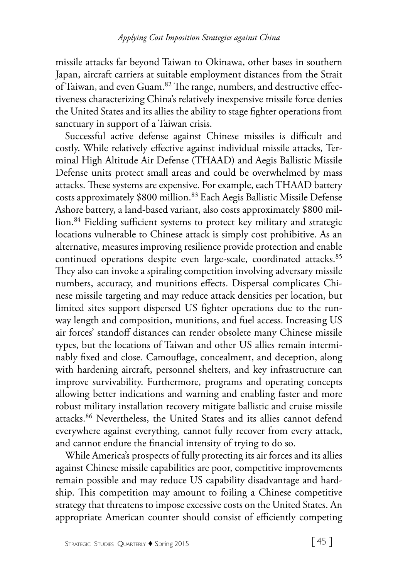missile attacks far beyond Taiwan to Okinawa, other bases in southern Japan, aircraft carriers at suitable employment distances from the Strait of Taiwan, and even Guam.82 The range, numbers, and destructive effectiveness characterizing China's relatively inexpensive missile force denies the United States and its allies the ability to stage fighter operations from sanctuary in support of a Taiwan crisis.

Successful active defense against Chinese missiles is difficult and costly. While relatively effective against individual missile attacks, Terminal High Altitude Air Defense (THAAD) and Aegis Ballistic Missile Defense units protect small areas and could be overwhelmed by mass attacks. These systems are expensive. For example, each THAAD battery costs approximately \$800 million.83 Each Aegis Ballistic Missile Defense Ashore battery, a land-based variant, also costs approximately \$800 million.<sup>84</sup> Fielding sufficient systems to protect key military and strategic locations vulnerable to Chinese attack is simply cost prohibitive. As an alternative, measures improving resilience provide protection and enable continued operations despite even large-scale, coordinated attacks.<sup>85</sup> They also can invoke a spiraling competition involving adversary missile numbers, accuracy, and munitions effects. Dispersal complicates Chinese missile targeting and may reduce attack densities per location, but limited sites support dispersed US fighter operations due to the runway length and composition, munitions, and fuel access. Increasing US air forces' standoff distances can render obsolete many Chinese missile types, but the locations of Taiwan and other US allies remain interminably fixed and close. Camouflage, concealment, and deception, along with hardening aircraft, personnel shelters, and key infrastructure can improve survivability. Furthermore, programs and operating concepts allowing better indications and warning and enabling faster and more robust military installation recovery mitigate ballistic and cruise missile attacks.86 Nevertheless, the United States and its allies cannot defend everywhere against everything, cannot fully recover from every attack, and cannot endure the financial intensity of trying to do so.

While America's prospects of fully protecting its air forces and its allies against Chinese missile capabilities are poor, competitive improvements remain possible and may reduce US capability disadvantage and hardship. This competition may amount to foiling a Chinese competitive strategy that threatens to impose excessive costs on the United States. An appropriate American counter should consist of efficiently competing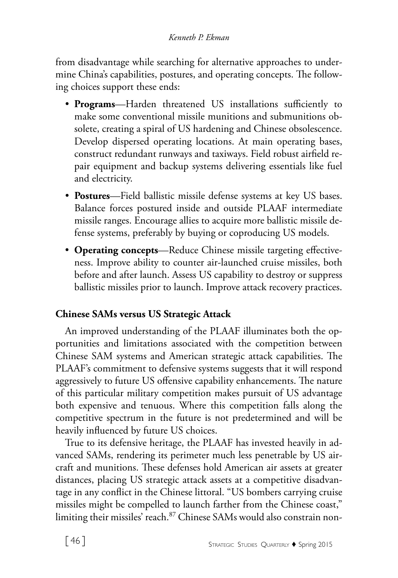from disadvantage while searching for alternative approaches to undermine China's capabilities, postures, and operating concepts. The following choices support these ends:

- **Programs**—Harden threatened US installations sufficiently to make some conventional missile munitions and submunitions obsolete, creating a spiral of US hardening and Chinese obsolescence. Develop dispersed operating locations. At main operating bases, construct redundant runways and taxiways. Field robust airfield repair equipment and backup systems delivering essentials like fuel and electricity.
- **Postures**—Field ballistic missile defense systems at key US bases. Balance forces postured inside and outside PLAAF intermediate missile ranges. Encourage allies to acquire more ballistic missile defense systems, preferably by buying or coproducing US models.
- **Operating concepts**—Reduce Chinese missile targeting effectiveness. Improve ability to counter air-launched cruise missiles, both before and after launch. Assess US capability to destroy or suppress ballistic missiles prior to launch. Improve attack recovery practices.

# **Chinese SAMs versus US Strategic Attack**

An improved understanding of the PLAAF illuminates both the opportunities and limitations associated with the competition between Chinese SAM systems and American strategic attack capabilities. The PLAAF's commitment to defensive systems suggests that it will respond aggressively to future US offensive capability enhancements. The nature of this particular military competition makes pursuit of US advantage both expensive and tenuous. Where this competition falls along the competitive spectrum in the future is not predetermined and will be heavily influenced by future US choices.

True to its defensive heritage, the PLAAF has invested heavily in advanced SAMs, rendering its perimeter much less penetrable by US aircraft and munitions. These defenses hold American air assets at greater distances, placing US strategic attack assets at a competitive disadvantage in any conflict in the Chinese littoral. "US bombers carrying cruise missiles might be compelled to launch farther from the Chinese coast," limiting their missiles' reach.<sup>87</sup> Chinese SAMs would also constrain non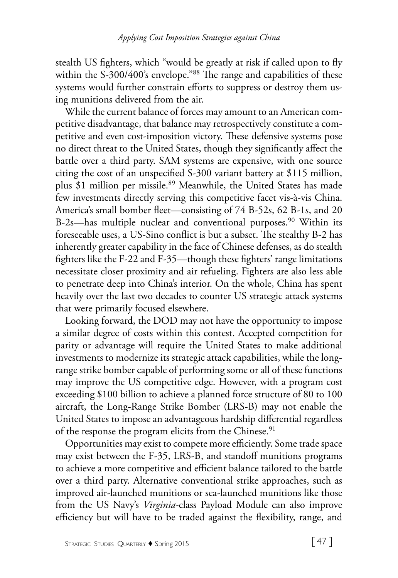stealth US fighters, which "would be greatly at risk if called upon to fly within the S-300/400's envelope."<sup>88</sup> The range and capabilities of these systems would further constrain efforts to suppress or destroy them using munitions delivered from the air.

While the current balance of forces may amount to an American competitive disadvantage, that balance may retrospectively constitute a competitive and even cost-imposition victory. These defensive systems pose no direct threat to the United States, though they significantly affect the battle over a third party. SAM systems are expensive, with one source citing the cost of an unspecified S-300 variant battery at \$115 million, plus \$1 million per missile.<sup>89</sup> Meanwhile, the United States has made few investments directly serving this competitive facet vis-à-vis China. America's small bomber fleet—consisting of 74 B-52s, 62 B-1s, and 20 B-2s—has multiple nuclear and conventional purposes.<sup>90</sup> Within its foreseeable uses, a US-Sino conflict is but a subset. The stealthy B-2 has inherently greater capability in the face of Chinese defenses, as do stealth fighters like the F-22 and F-35—though these fighters' range limitations necessitate closer proximity and air refueling. Fighters are also less able to penetrate deep into China's interior. On the whole, China has spent heavily over the last two decades to counter US strategic attack systems that were primarily focused elsewhere.

Looking forward, the DOD may not have the opportunity to impose a similar degree of costs within this contest. Accepted competition for parity or advantage will require the United States to make additional investments to modernize its strategic attack capabilities, while the longrange strike bomber capable of performing some or all of these functions may improve the US competitive edge. However, with a program cost exceeding \$100 billion to achieve a planned force structure of 80 to 100 aircraft, the Long-Range Strike Bomber (LRS-B) may not enable the United States to impose an advantageous hardship differential regardless of the response the program elicits from the Chinese.<sup>91</sup>

Opportunities may exist to compete more efficiently. Some trade space may exist between the F-35, LRS-B, and standoff munitions programs to achieve a more competitive and efficient balance tailored to the battle over a third party. Alternative conventional strike approaches, such as improved air-launched munitions or sea-launched munitions like those from the US Navy's *Virginia*-class Payload Module can also improve efficiency but will have to be traded against the flexibility, range, and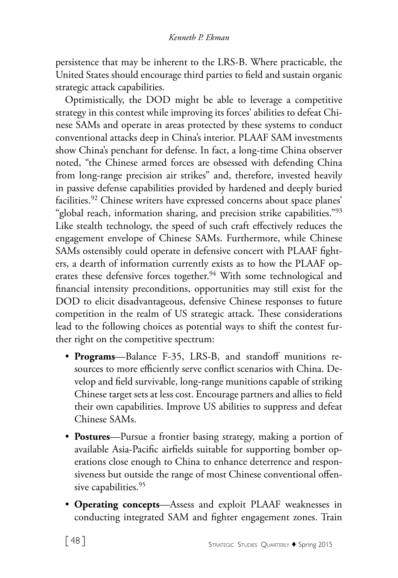persistence that may be inherent to the LRS-B. Where practicable, the United States should encourage third parties to field and sustain organic strategic attack capabilities.

Optimistically, the DOD might be able to leverage a competitive strategy in this contest while improving its forces' abilities to defeat Chinese SAMs and operate in areas protected by these systems to conduct conventional attacks deep in China's interior. PLAAF SAM investments show China's penchant for defense. In fact, a long-time China observer noted, "the Chinese armed forces are obsessed with defending China from long-range precision air strikes" and, therefore, invested heavily in passive defense capabilities provided by hardened and deeply buried facilities.<sup>92</sup> Chinese writers have expressed concerns about space planes' "global reach, information sharing, and precision strike capabilities."<sup>93</sup> Like stealth technology, the speed of such craft effectively reduces the engagement envelope of Chinese SAMs. Furthermore, while Chinese SAMs ostensibly could operate in defensive concert with PLAAF fighters, a dearth of information currently exists as to how the PLAAF operates these defensive forces together.<sup>94</sup> With some technological and financial intensity preconditions, opportunities may still exist for the DOD to elicit disadvantageous, defensive Chinese responses to future competition in the realm of US strategic attack. These considerations lead to the following choices as potential ways to shift the contest further right on the competitive spectrum:

- **Programs**—Balance F-35, LRS-B, and standoff munitions resources to more efficiently serve conflict scenarios with China. Develop and field survivable, long-range munitions capable of striking Chinese target sets at less cost. Encourage partners and allies to field their own capabilities. Improve US abilities to suppress and defeat Chinese SAMs.
- **Postures**—Pursue a frontier basing strategy, making a portion of available Asia-Pacific airfields suitable for supporting bomber operations close enough to China to enhance deterrence and responsiveness but outside the range of most Chinese conventional offensive capabilities.<sup>95</sup>
- **Operating concepts**—Assess and exploit PLAAF weaknesses in conducting integrated SAM and fighter engagement zones. Train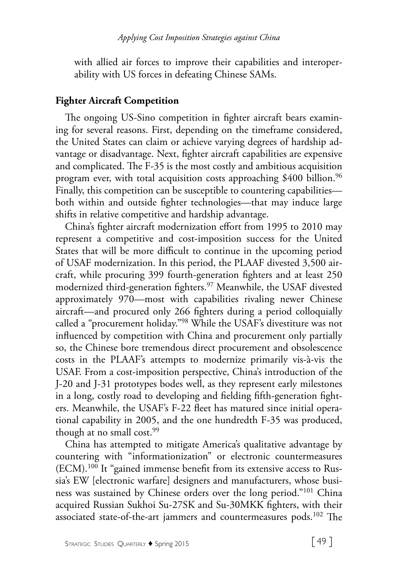with allied air forces to improve their capabilities and interoperability with US forces in defeating Chinese SAMs.

### **Fighter Aircraft Competition**

The ongoing US-Sino competition in fighter aircraft bears examining for several reasons. First, depending on the timeframe considered, the United States can claim or achieve varying degrees of hardship advantage or disadvantage. Next, fighter aircraft capabilities are expensive and complicated. The F-35 is the most costly and ambitious acquisition program ever, with total acquisition costs approaching  $$400$  billion.<sup>96</sup> Finally, this competition can be susceptible to countering capabilities both within and outside fighter technologies—that may induce large shifts in relative competitive and hardship advantage.

China's fighter aircraft modernization effort from 1995 to 2010 may represent a competitive and cost-imposition success for the United States that will be more difficult to continue in the upcoming period of USAF modernization. In this period, the PLAAF divested 3,500 aircraft, while procuring 399 fourth-generation fighters and at least 250 modernized third-generation fighters.97 Meanwhile, the USAF divested approximately 970—most with capabilities rivaling newer Chinese aircraft—and procured only 266 fighters during a period colloquially called a "procurement holiday."98 While the USAF's divestiture was not influenced by competition with China and procurement only partially so, the Chinese bore tremendous direct procurement and obsolescence costs in the PLAAF's attempts to modernize primarily vis-à-vis the USAF. From a cost-imposition perspective, China's introduction of the J-20 and J-31 prototypes bodes well, as they represent early milestones in a long, costly road to developing and fielding fifth-generation fighters. Meanwhile, the USAF's F-22 fleet has matured since initial operational capability in 2005, and the one hundredth F-35 was produced, though at no small cost.<sup>99</sup>

China has attempted to mitigate America's qualitative advantage by countering with "informationization" or electronic countermeasures (ECM).100 It "gained immense benefit from its extensive access to Russia's EW [electronic warfare] designers and manufacturers, whose business was sustained by Chinese orders over the long period."101 China acquired Russian Sukhoi Su-27SK and Su-30MKK fighters, with their associated state-of-the-art jammers and countermeasures pods.<sup>102</sup> The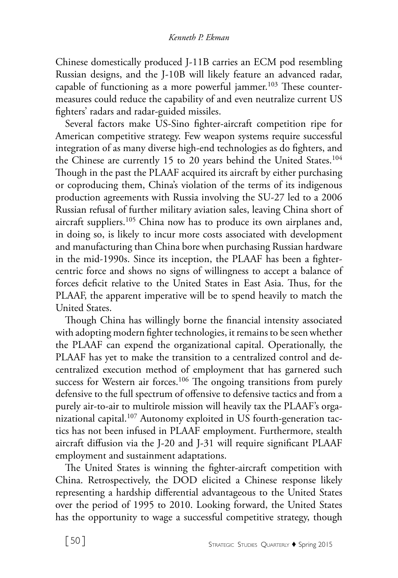Chinese domestically produced J-11B carries an ECM pod resembling Russian designs, and the J-10B will likely feature an advanced radar, capable of functioning as a more powerful jammer.<sup>103</sup> These countermeasures could reduce the capability of and even neutralize current US fighters' radars and radar-guided missiles.

Several factors make US-Sino fighter-aircraft competition ripe for American competitive strategy. Few weapon systems require successful integration of as many diverse high-end technologies as do fighters, and the Chinese are currently 15 to 20 years behind the United States.<sup>104</sup> Though in the past the PLAAF acquired its aircraft by either purchasing or coproducing them, China's violation of the terms of its indigenous production agreements with Russia involving the SU-27 led to a 2006 Russian refusal of further military aviation sales, leaving China short of aircraft suppliers.<sup>105</sup> China now has to produce its own airplanes and, in doing so, is likely to incur more costs associated with development and manufacturing than China bore when purchasing Russian hardware in the mid-1990s. Since its inception, the PLAAF has been a fightercentric force and shows no signs of willingness to accept a balance of forces deficit relative to the United States in East Asia. Thus, for the PLAAF, the apparent imperative will be to spend heavily to match the United States.

Though China has willingly borne the financial intensity associated with adopting modern fighter technologies, it remains to be seen whether the PLAAF can expend the organizational capital. Operationally, the PLAAF has yet to make the transition to a centralized control and decentralized execution method of employment that has garnered such success for Western air forces.<sup>106</sup> The ongoing transitions from purely defensive to the full spectrum of offensive to defensive tactics and from a purely air-to-air to multirole mission will heavily tax the PLAAF's organizational capital.<sup>107</sup> Autonomy exploited in US fourth-generation tactics has not been infused in PLAAF employment. Furthermore, stealth aircraft diffusion via the J-20 and J-31 will require significant PLAAF employment and sustainment adaptations.

The United States is winning the fighter-aircraft competition with China. Retrospectively, the DOD elicited a Chinese response likely representing a hardship differential advantageous to the United States over the period of 1995 to 2010. Looking forward, the United States has the opportunity to wage a successful competitive strategy, though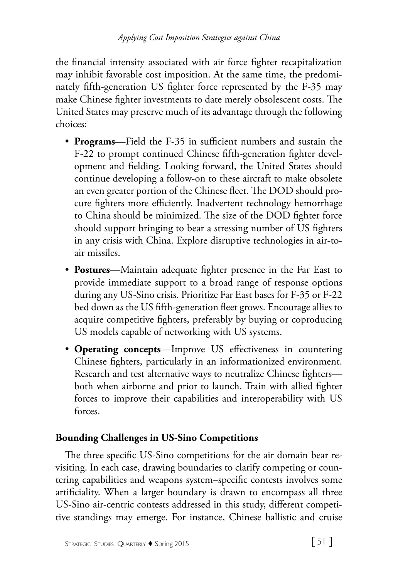the financial intensity associated with air force fighter recapitalization may inhibit favorable cost imposition. At the same time, the predominately fifth-generation US fighter force represented by the F-35 may make Chinese fighter investments to date merely obsolescent costs. The United States may preserve much of its advantage through the following choices:

- **Programs**—Field the F-35 in sufficient numbers and sustain the F-22 to prompt continued Chinese fifth-generation fighter development and fielding. Looking forward, the United States should continue developing a follow-on to these aircraft to make obsolete an even greater portion of the Chinese fleet. The DOD should procure fighters more efficiently. Inadvertent technology hemorrhage to China should be minimized. The size of the DOD fighter force should support bringing to bear a stressing number of US fighters in any crisis with China. Explore disruptive technologies in air-toair missiles.
- **Postures**—Maintain adequate fighter presence in the Far East to provide immediate support to a broad range of response options during any US-Sino crisis. Prioritize Far East bases for F-35 or F-22 bed down as the US fifth-generation fleet grows. Encourage allies to acquire competitive fighters, preferably by buying or coproducing US models capable of networking with US systems.
- **Operating concepts**—Improve US effectiveness in countering Chinese fighters, particularly in an informationized environment. Research and test alternative ways to neutralize Chinese fighters both when airborne and prior to launch. Train with allied fighter forces to improve their capabilities and interoperability with US forces.

# **Bounding Challenges in US-Sino Competitions**

The three specific US-Sino competitions for the air domain bear revisiting. In each case, drawing boundaries to clarify competing or countering capabilities and weapons system–specific contests involves some artificiality. When a larger boundary is drawn to encompass all three US-Sino air-centric contests addressed in this study, different competitive standings may emerge. For instance, Chinese ballistic and cruise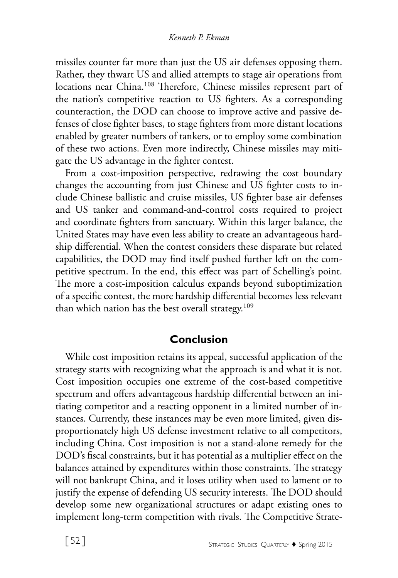missiles counter far more than just the US air defenses opposing them. Rather, they thwart US and allied attempts to stage air operations from locations near China.<sup>108</sup> Therefore, Chinese missiles represent part of the nation's competitive reaction to US fighters. As a corresponding counteraction, the DOD can choose to improve active and passive defenses of close fighter bases, to stage fighters from more distant locations enabled by greater numbers of tankers, or to employ some combination of these two actions. Even more indirectly, Chinese missiles may mitigate the US advantage in the fighter contest.

From a cost-imposition perspective, redrawing the cost boundary changes the accounting from just Chinese and US fighter costs to include Chinese ballistic and cruise missiles, US fighter base air defenses and US tanker and command-and-control costs required to project and coordinate fighters from sanctuary. Within this larger balance, the United States may have even less ability to create an advantageous hardship differential. When the contest considers these disparate but related capabilities, the DOD may find itself pushed further left on the competitive spectrum. In the end, this effect was part of Schelling's point. The more a cost-imposition calculus expands beyond suboptimization of a specific contest, the more hardship differential becomes less relevant than which nation has the best overall strategy.<sup>109</sup>

### **Conclusion**

While cost imposition retains its appeal, successful application of the strategy starts with recognizing what the approach is and what it is not. Cost imposition occupies one extreme of the cost-based competitive spectrum and offers advantageous hardship differential between an initiating competitor and a reacting opponent in a limited number of instances. Currently, these instances may be even more limited, given disproportionately high US defense investment relative to all competitors, including China. Cost imposition is not a stand-alone remedy for the DOD's fiscal constraints, but it has potential as a multiplier effect on the balances attained by expenditures within those constraints. The strategy will not bankrupt China, and it loses utility when used to lament or to justify the expense of defending US security interests. The DOD should develop some new organizational structures or adapt existing ones to implement long-term competition with rivals. The Competitive Strate-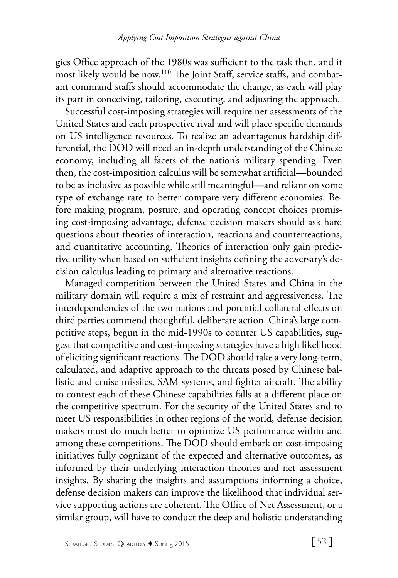gies Office approach of the 1980s was sufficient to the task then, and it most likely would be now.110 The Joint Staff, service staffs, and combatant command staffs should accommodate the change, as each will play its part in conceiving, tailoring, executing, and adjusting the approach.

Successful cost-imposing strategies will require net assessments of the United States and each prospective rival and will place specific demands on US intelligence resources. To realize an advantageous hardship differential, the DOD will need an in-depth understanding of the Chinese economy, including all facets of the nation's military spending. Even then, the cost-imposition calculus will be somewhat artificial—bounded to be as inclusive as possible while still meaningful—and reliant on some type of exchange rate to better compare very different economies. Before making program, posture, and operating concept choices promising cost-imposing advantage, defense decision makers should ask hard questions about theories of interaction, reactions and counterreactions, and quantitative accounting. Theories of interaction only gain predictive utility when based on sufficient insights defining the adversary's decision calculus leading to primary and alternative reactions.

Managed competition between the United States and China in the military domain will require a mix of restraint and aggressiveness. The interdependencies of the two nations and potential collateral effects on third parties commend thoughtful, deliberate action. China's large competitive steps, begun in the mid-1990s to counter US capabilities, suggest that competitive and cost-imposing strategies have a high likelihood of eliciting significant reactions. The DOD should take a very long-term, calculated, and adaptive approach to the threats posed by Chinese ballistic and cruise missiles, SAM systems, and fighter aircraft. The ability to contest each of these Chinese capabilities falls at a different place on the competitive spectrum. For the security of the United States and to meet US responsibilities in other regions of the world, defense decision makers must do much better to optimize US performance within and among these competitions. The DOD should embark on cost-imposing initiatives fully cognizant of the expected and alternative outcomes, as informed by their underlying interaction theories and net assessment insights. By sharing the insights and assumptions informing a choice, defense decision makers can improve the likelihood that individual service supporting actions are coherent. The Office of Net Assessment, or a similar group, will have to conduct the deep and holistic understanding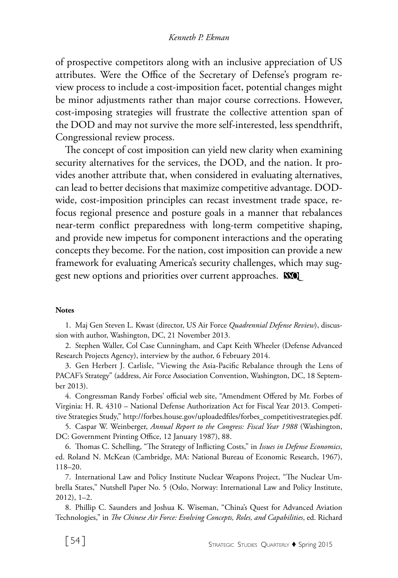of prospective competitors along with an inclusive appreciation of US attributes. Were the Office of the Secretary of Defense's program review process to include a cost-imposition facet, potential changes might be minor adjustments rather than major course corrections. However, cost-imposing strategies will frustrate the collective attention span of the DOD and may not survive the more self-interested, less spendthrift, Congressional review process.

The concept of cost imposition can yield new clarity when examining security alternatives for the services, the DOD, and the nation. It provides another attribute that, when considered in evaluating alternatives, can lead to better decisions that maximize competitive advantage. DODwide, cost-imposition principles can recast investment trade space, refocus regional presence and posture goals in a manner that rebalances near-term conflict preparedness with long-term competitive shaping, and provide new impetus for component interactions and the operating concepts they become. For the nation, cost imposition can provide a new framework for evaluating America's security challenges, which may suggest new options and priorities over current approaches. **SSO** 

#### **Notes**

1. Maj Gen Steven L. Kwast (director, US Air Force *Quadrennial Defense Review*), discussion with author, Washington, DC, 21 November 2013.

2. Stephen Waller, Col Case Cunningham, and Capt Keith Wheeler (Defense Advanced Research Projects Agency), interview by the author, 6 February 2014.

3. Gen Herbert J. Carlisle, "Viewing the Asia-Pacific Rebalance through the Lens of PACAF's Strategy" (address, Air Force Association Convention, Washington, DC, 18 September 2013).

4. Congressman Randy Forbes' official web site, "Amendment Offered by Mr. Forbes of Virginia: H. R. 4310 – National Defense Authorization Act for Fiscal Year 2013. Competitive Strategies Study," http://forbes.house.gov/uploadedfiles/forbes\_competitivestrategies.pdf.

5. Caspar W. Weinberger, *Annual Report to the Congress: Fiscal Year 1988* (Washington, DC: Government Printing Office, 12 January 1987), 88.

6. Thomas C. Schelling, "The Strategy of Inflicting Costs," in *Issues in Defense Economics*, ed. Roland N. McKean (Cambridge, MA: National Bureau of Economic Research, 1967), 118–20.

7. International Law and Policy Institute Nuclear Weapons Project, "The Nuclear Umbrella States," Nutshell Paper No. 5 (Oslo, Norway: International Law and Policy Institute, 2012), 1–2.

8. Phillip C. Saunders and Joshua K. Wiseman, "China's Quest for Advanced Aviation Technologies," in *The Chinese Air Force: Evolving Concepts, Roles, and Capabilities*, ed. Richard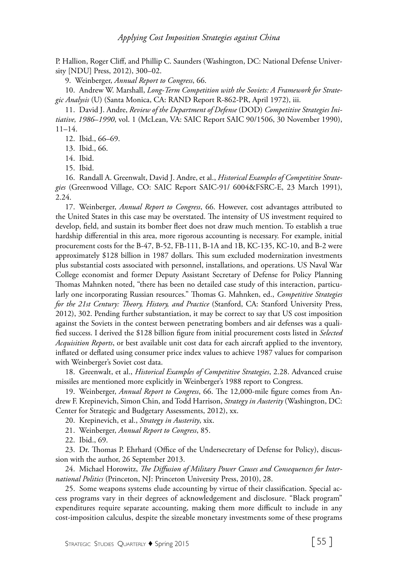P. Hallion, Roger Cliff, and Phillip C. Saunders (Washington, DC: National Defense University [NDU] Press, 2012), 300–02.

9. Weinberger, *Annual Report to Congress*, 66.

10. Andrew W. Marshall, *Long-Term Competition with the Soviets: A Framework for Strategic Analysis* (U) (Santa Monica, CA: RAND Report R-862-PR, April 1972), iii.

11. David J. Andre, *Review of the Department of Defense* (DOD) *Competitive Strategies Initiative, 1986*–*1990*, vol. 1 (McLean, VA: SAIC Report SAIC 90/1506, 30 November 1990), 11–14.

12. Ibid., 66–69.

13. Ibid., 66.

14. Ibid.

15. Ibid.

16. Randall A. Greenwalt, David J. Andre, et al., *Historical Examples of Competitive Strategies* (Greenwood Village, CO: SAIC Report SAIC-91/ 6004&FSRC-E, 23 March 1991), 2.24.

17. Weinberger, *Annual Report to Congress*, 66. However, cost advantages attributed to the United States in this case may be overstated. The intensity of US investment required to develop, field, and sustain its bomber fleet does not draw much mention. To establish a true hardship differential in this area, more rigorous accounting is necessary. For example, initial procurement costs for the B-47, B-52, FB-111, B-1A and 1B, KC-135, KC-10, and B-2 were approximately \$128 billion in 1987 dollars. This sum excluded modernization investments plus substantial costs associated with personnel, installations, and operations. US Naval War College economist and former Deputy Assistant Secretary of Defense for Policy Planning Thomas Mahnken noted, "there has been no detailed case study of this interaction, particularly one incorporating Russian resources." Thomas G. Mahnken, ed., *Competitive Strategies for the 21st Century: Theory, History, and Practice* (Stanford, CA: Stanford University Press, 2012), 302. Pending further substantiation, it may be correct to say that US cost imposition against the Soviets in the contest between penetrating bombers and air defenses was a qualified success. I derived the \$128 billion figure from initial procurement costs listed in *Selected Acquisition Reports*, or best available unit cost data for each aircraft applied to the inventory, inflated or deflated using consumer price index values to achieve 1987 values for comparison with Weinberger's Soviet cost data.

18. Greenwalt, et al., *Historical Examples of Competitive Strategies*, 2.28. Advanced cruise missiles are mentioned more explicitly in Weinberger's 1988 report to Congress.

19. Weinberger, *Annual Report to Congress*, 66. The 12,000-mile figure comes from Andrew F. Krepinevich, Simon Chin, and Todd Harrison, *Strategy in Austerity* (Washington, DC: Center for Strategic and Budgetary Assessments, 2012), xx.

20. Krepinevich, et al., *Strategy in Austerity*, xix.

21. Weinberger, *Annual Report to Congress*, 85.

22. Ibid., 69.

23. Dr. Thomas P. Ehrhard (Office of the Undersecretary of Defense for Policy), discussion with the author, 26 September 2013.

24. Michael Horowitz, *The Diffusion of Military Power Causes and Consequences for International Politics* (Princeton, NJ: Princeton University Press, 2010), 28.

25. Some weapons systems elude accounting by virtue of their classification. Special access programs vary in their degrees of acknowledgement and disclosure. "Black program" expenditures require separate accounting, making them more difficult to include in any cost-imposition calculus, despite the sizeable monetary investments some of these programs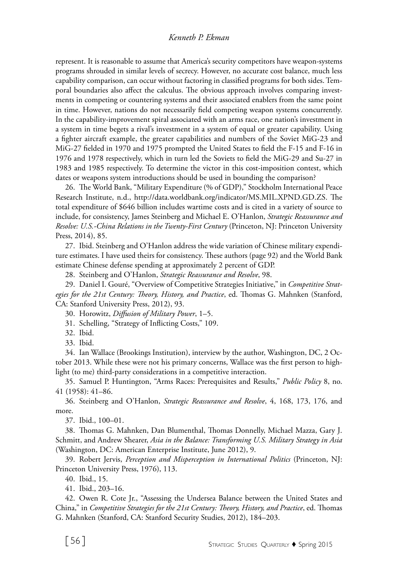represent. It is reasonable to assume that America's security competitors have weapon-systems programs shrouded in similar levels of secrecy. However, no accurate cost balance, much less capability comparison, can occur without factoring in classified programs for both sides. Temporal boundaries also affect the calculus. The obvious approach involves comparing investments in competing or countering systems and their associated enablers from the same point in time. However, nations do not necessarily field competing weapon systems concurrently. In the capability-improvement spiral associated with an arms race, one nation's investment in a system in time begets a rival's investment in a system of equal or greater capability. Using a fighter aircraft example, the greater capabilities and numbers of the Soviet MiG-23 and MiG-27 fielded in 1970 and 1975 prompted the United States to field the F-15 and F-16 in 1976 and 1978 respectively, which in turn led the Soviets to field the MiG-29 and Su-27 in 1983 and 1985 respectively. To determine the victor in this cost-imposition contest, which dates or weapons system introductions should be used in bounding the comparison?

26. The World Bank, "Military Expenditure (% of GDP)," Stockholm International Peace Research Institute, n.d., http://data.worldbank.org/indicator/MS.MIL.XPND.GD.ZS. The total expenditure of \$646 billion includes wartime costs and is cited in a variety of source to include, for consistency, James Steinberg and Michael E. O'Hanlon, *Strategic Reassurance and Resolve: U.S.-China Relations in the Twenty-First Century* (Princeton, NJ: Princeton University Press, 2014), 85.

27. Ibid. Steinberg and O'Hanlon address the wide variation of Chinese military expenditure estimates. I have used theirs for consistency. These authors (page 92) and the World Bank estimate Chinese defense spending at approximately 2 percent of GDP.

28. Steinberg and O'Hanlon, *Strategic Reassurance and Resolve*, 98.

29. Daniel I. Gouré, "Overview of Competitive Strategies Initiative," in *Competitive Strategies for the 21st Century: Theory, History, and Practice*, ed. Thomas G. Mahnken (Stanford, CA: Stanford University Press, 2012), 93.

30. Horowitz, *Diffusion of Military Power*, 1–5.

31. Schelling, "Strategy of Inflicting Costs," 109.

32. Ibid.

33. Ibid.

34. Ian Wallace (Brookings Institution), interview by the author, Washington, DC, 2 October 2013. While these were not his primary concerns, Wallace was the first person to highlight (to me) third-party considerations in a competitive interaction.

35. Samuel P. Huntington, "Arms Races: Prerequisites and Results," *Public Policy* 8, no. 41 (1958): 41–86.

36. Steinberg and O'Hanlon, *Strategic Reassurance and Resolve*, 4, 168, 173, 176, and more.

37. Ibid., 100–01.

38. Thomas G. Mahnken, Dan Blumenthal, Thomas Donnelly, Michael Mazza, Gary J. Schmitt, and Andrew Shearer, *Asia in the Balance: Transforming U.S. Military Strategy in Asia* (Washington, DC: American Enterprise Institute, June 2012), 9.

39. Robert Jervis, *Perception and Misperception in International Politics* (Princeton, NJ: Princeton University Press, 1976), 113.

40. Ibid., 15.

41. Ibid., 203–16.

42. Owen R. Cote Jr., "Assessing the Undersea Balance between the United States and China," in *Competitive Strategies for the 21st Century: Theory, History, and Practice*, ed. Thomas G. Mahnken (Stanford, CA: Stanford Security Studies, 2012), 184–203.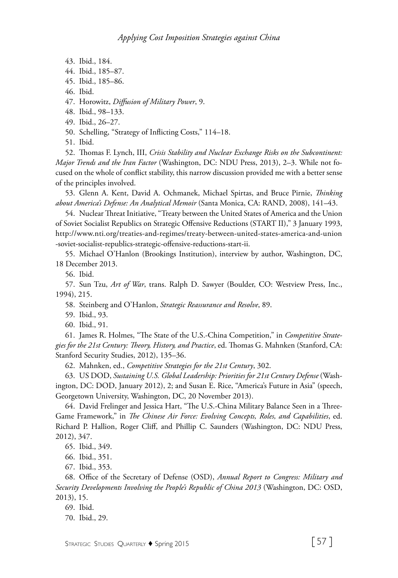- 43. Ibid., 184.
- 44. Ibid., 185–87.
- 45. Ibid., 185–86.
- 46. Ibid.

47. Horowitz, *Diffusion of Military Power*, 9.

- 48. Ibid., 98–133.
- 49. Ibid., 26–27.
- 50. Schelling, "Strategy of Inflicting Costs," 114–18.

51. Ibid.

52. Thomas F. Lynch, III, *Crisis Stability and Nuclear Exchange Risks on the Subcontinent: Major Trends and the Iran Factor* (Washington, DC: NDU Press, 2013), 2–3. While not focused on the whole of conflict stability, this narrow discussion provided me with a better sense of the principles involved.

53. Glenn A. Kent, David A. Ochmanek, Michael Spirtas, and Bruce Pirnie, *Thinking about America's Defense: An Analytical Memoir* (Santa Monica, CA: RAND, 2008), 141–43.

54. Nuclear Threat Initiative, "Treaty between the United States of America and the Union of Soviet Socialist Republics on Strategic Offensive Reductions (START II)," 3 January 1993, http://www.nti.org/treaties-and-regimes/treaty-between-united-states-america-and-union -soviet-socialist-republics-strategic-offensive-reductions-start-ii.

55. Michael O'Hanlon (Brookings Institution), interview by author, Washington, DC, 18 December 2013.

56. Ibid.

57. Sun Tzu, *Art of War*, trans. Ralph D. Sawyer (Boulder, CO: Westview Press, Inc., 1994), 215.

58. Steinberg and O'Hanlon, *Strategic Reassurance and Resolve*, 89.

- 59. Ibid., 93.
- 60. Ibid., 91.

61. James R. Holmes, "The State of the U.S.-China Competition," in *Competitive Strategies for the 21st Century: Theory, History, and Practice*, ed. Thomas G. Mahnken (Stanford, CA: Stanford Security Studies, 2012), 135–36.

62. Mahnken, ed., *Competitive Strategies for the 21st Century*, 302.

63. US DOD, *Sustaining U.S. Global Leadership: Priorities for 21st Century Defense* (Washington, DC: DOD, January 2012), 2; and Susan E. Rice, "America's Future in Asia" (speech, Georgetown University, Washington, DC, 20 November 2013).

64. David Frelinger and Jessica Hart, "The U.S.-China Military Balance Seen in a Three-Game Framework," in *The Chinese Air Force: Evolving Concepts, Roles, and Capabilities*, ed. Richard P. Hallion, Roger Cliff, and Phillip C. Saunders (Washington, DC: NDU Press, 2012), 347.

65. Ibid., 349.

66. Ibid., 351.

67. Ibid., 353.

68. Office of the Secretary of Defense (OSD), *Annual Report to Congress: Military and Security Developments Involving the People's Republic of China 2013* (Washington, DC: OSD, 2013), 15.

69. Ibid.

70. Ibid., 29.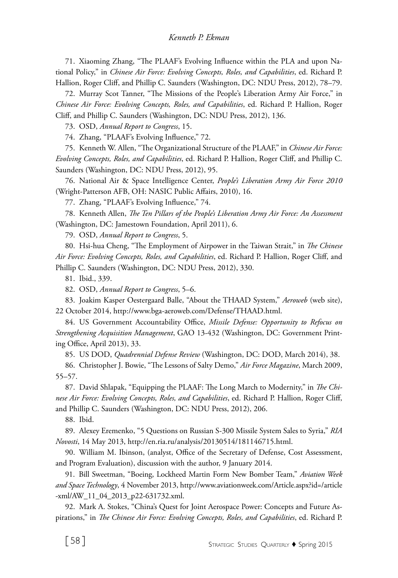71. Xiaoming Zhang, "The PLAAF's Evolving Influence within the PLA and upon National Policy," in *Chinese Air Force: Evolving Concepts, Roles, and Capabilities*, ed. Richard P. Hallion, Roger Cliff, and Phillip C. Saunders (Washington, DC: NDU Press, 2012), 78–79.

72. Murray Scot Tanner, "The Missions of the People's Liberation Army Air Force," in *Chinese Air Force: Evolving Concepts, Roles, and Capabilities*, ed. Richard P. Hallion, Roger Cliff, and Phillip C. Saunders (Washington, DC: NDU Press, 2012), 136.

73. OSD, *Annual Report to Congress*, 15.

74. Zhang, "PLAAF's Evolving Influence," 72.

75. Kenneth W. Allen, "The Organizational Structure of the PLAAF," in *Chinese Air Force: Evolving Concepts, Roles, and Capabilities*, ed. Richard P. Hallion, Roger Cliff, and Phillip C. Saunders (Washington, DC: NDU Press, 2012), 95.

76. National Air & Space Intelligence Center, *People's Liberation Army Air Force 2010* (Wright-Patterson AFB, OH: NASIC Public Affairs, 2010), 16.

77. Zhang, "PLAAF's Evolving Influence," 74.

78. Kenneth Allen, *The Ten Pillars of the People's Liberation Army Air Force: An Assessment* (Washington, DC: Jamestown Foundation, April 2011), 6.

79. OSD, *Annual Report to Congress*, 5.

80. Hsi-hua Cheng, "The Employment of Airpower in the Taiwan Strait," in *The Chinese Air Force: Evolving Concepts, Roles, and Capabilities*, ed. Richard P. Hallion, Roger Cliff, and Phillip C. Saunders (Washington, DC: NDU Press, 2012), 330.

81. Ibid., 339.

82. OSD, *Annual Report to Congress*, 5–6.

83. Joakim Kasper Oestergaard Balle, "About the THAAD System," *Aeroweb* (web site), 22 October 2014, http://www.bga-aeroweb.com/Defense/THAAD.html.

84. US Government Accountability Office, *Missile Defense: Opportunity to Refocus on Strengthening Acquisition Management*, GAO 13-432 (Washington, DC: Government Printing Office, April 2013), 33.

85. US DOD, *Quadrennial Defense Review* (Washington, DC: DOD, March 2014), 38.

86. Christopher J. Bowie, "The Lessons of Salty Demo," *Air Force Magazine*, March 2009, 55–57.

87. David Shlapak, "Equipping the PLAAF: The Long March to Modernity," in *The Chinese Air Force: Evolving Concepts, Roles, and Capabilities*, ed. Richard P. Hallion, Roger Cliff, and Phillip C. Saunders (Washington, DC: NDU Press, 2012), 206.

88. Ibid.

89. Alexey Eremenko, "5 Questions on Russian S-300 Missile System Sales to Syria," *RIA Novosti*, 14 May 2013, http://en.ria.ru/analysis/20130514/181146715.html.

90. William M. Ibinson, (analyst, Office of the Secretary of Defense, Cost Assessment, and Program Evaluation), discussion with the author, 9 January 2014.

91. Bill Sweetman, "Boeing, Lockheed Martin Form New Bomber Team," *Aviation Week and Space Technology*, 4 November 2013, http://www.aviationweek.com/Article.aspx?id=/article -xml/AW\_11\_04\_2013\_p22-631732.xml.

92. Mark A. Stokes, "China's Quest for Joint Aerospace Power: Concepts and Future Aspirations," in *The Chinese Air Force: Evolving Concepts, Roles, and Capabilities*, ed. Richard P.